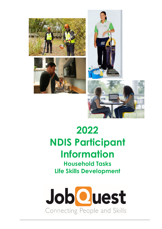



# **2022 NDIS Participant Information**

**Household Tasks Life Skills Development**

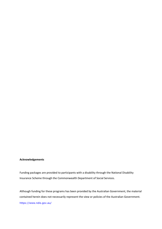#### **Acknowledgements**

Funding packages are provided to participants with a disability through the National Disability Insurance Scheme through the Commonwealth Department of Social Services.

Although funding for these programs has been provided by the Australian Government, the material contained herein does not necessarily represent the view or policies of the Australian Government. <https://www.ndis.gov.au/>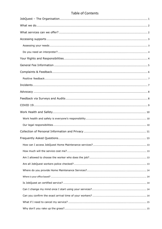## **Table of Contents**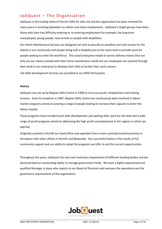# <span id="page-4-0"></span>JobQuest – The Organisation

JobQuest is the trading name of Penrith Skills for Jobs Ltd and the organisation has been involved for many years in assisting jobseekers to obtain and retain employment. JobQuest's target groups have been those who have had difficulty entering or re-entering employment for example, the long term unemployed, young people, new arrivals or people with disabilities.

Our Home Maintenance Services are designed not only to provide an excellent and vital service for the elderly in our community and people living with a disability but at the same time to provide work for people seeking to enter the workforce. This social enterprise model of service delivery means that not only are our clients assisted with their home maintenance needs but our employees are assisted through their work in our enterprise to develop their skills to further their work careers.

Life Skills Development Services are provided to our NDIS Participants.

#### **History**

JobQuest was set up by Nepean Skills Centre in 1998 to carry out youth, employment and training services. Since its inception in 1987, Nepean Skills Centre has continuously been involved in labour market programs aimed at assisting a range of people looking to increase their capacity to enter the labour market.

These programs have included work skills development, job seeking skills, work for the dole and a wide range of youth programs aimed at addressing the high youth unemployment in the regions in which we operate.

Originally centred in Penrith our head office now operates from a more centrally located premises in Girraween with other offices in Penrith and Newcastle. Our successful history is the results of full community support and our ability to adapt the programs we offer to suit the current opportunities.

Throughout the years, JobQuest has met each and every requirement of different funding bodies and has demonstrated an outstanding ability to manage government funds. We have a highly experienced and qualified Manager in place who reports to our Board of Directors and oversees the operations and the governance requirements of the organisation.

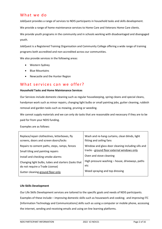### <span id="page-5-0"></span>What we do

JobQuest provides a range of services to NDIS participants in household tasks and skills development.

We provide a range of home maintenance services to Home Care and Veterans Home Care clients.

We provide youth programs in the community and in schools working with disadvantaged and disengaged youth.

JobQuest is a Registered Training Organisation and Community College offering a wide range of training programs both accredited and non-accredited across our communities.

We also provide services in the following areas:

- Western Sydney
- Blue Mountains
- Newcastle and the Hunter Region

## <span id="page-5-1"></span>What services can we offer?

#### **Household Tasks and Home Maintenance Services**

Our Services include domestic cleaning such as regular housekeeping, spring cleans and special cleans, handyman work such as minor repairs, changing light bulbs or small painting jobs, gutter cleaning, rubbish removal and garden tasks such as mowing, pruning or weeding.

We cannot supply materials and we can only do tasks that are reasonable and necessary if they are to be paid for from your NDIS funding.

Examples are as follows:

| Replace/repair clotheslines, letterboxes, fly<br>screens, doors and screen doors/locks | Wash and re-hang curtains, clean blinds, light<br>fitting and ceiling fans |
|----------------------------------------------------------------------------------------|----------------------------------------------------------------------------|
| Repairs to cement paths, steps, ramps, fences                                          | Window and glass door cleaning including sills and                         |
| Small tiling and painting repairs                                                      | tracks - ground floor external windows only                                |
| Install and checking smoke alarms                                                      | Oven and stove cleaning                                                    |
| Changing light bulbs, tubes and starters (tasks that                                   | High pressure washing - house, driveways, paths                            |
| do not require a Trade License)                                                        | etc                                                                        |
| Gutter cleaning ground floor only                                                      | Weed spraying and top dressing                                             |
|                                                                                        |                                                                            |

#### **Life Skills Development**

Our Life Skills Development services are tailored to the specific goals and needs of NDIS participants. Examples of these include – improving domestic skills such as housework and cooking; and improving ITC [Information Technology and Communications] skills such as using a computer or mobile phone, accessing the internet, sending and receiving emails and using on-line learning platforms.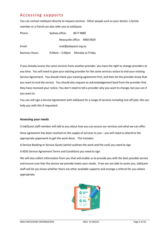## <span id="page-6-0"></span>Accessing supports

You can contact JobQuest directly to request services. Other people such as your doctor, a family member or a friend can also refer you to JobQuest.

| Phone                 | Sydney office:    | 86778885                    |
|-----------------------|-------------------|-----------------------------|
|                       |                   | Newcastle office: 4960 9024 |
| Email                 |                   | mail@jobquest.org.au        |
| <b>Business Hours</b> | $9:00am - 5:00pm$ | Monday to Friday            |

If you already access the same services from another provider, you have the right to change providers at any time. You will need to give your existing provider for the same services notice to end your existing Service Agreement. You should check your existing agreement first, and then let the provider know that you want to end the service. You should also request an acknowledgement back from the provider that they have received your notice. You don't need to tell a provider why you want to change, but you can if you want to.

You can still sign a Service Agreement with JobQuest for a range of services including one-off jobs. We can help you with this if requested.

#### <span id="page-6-1"></span>**Assessing your needs**

A JobQuest staff member will talk to you about how you can access our services and what we can offer.

Once agreement has been reached on the supply of services to you – you will need to attend to the appropriate paperwork to get the work done. This includes:

A Service Booking or Service Quote [which outlines the work and the cost] you need to sign

A NDIS Service Agreement Terms and Conditions you need to sign

We will also collect information from you that will enable us to provide you with the best possible service and ensure sure that the service we provide meets your needs. If we are not able to assist you, JobQuest staff will let you know whether there are other available supports and arrange a referral for you where appropriate.

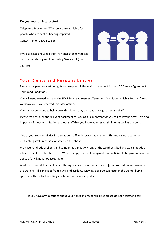#### <span id="page-7-0"></span>**Do you need an interpreter?**

Telephone Typewriter (TTY) service are available for people who are deaf or hearing impaired Contact TTY on 1800 810 586

If you speak a language other than English then you can call the Translating and Interpreting Service (TIS) on 131 450.



## <span id="page-7-1"></span>Your Rights and Responsibilities

Every participant has certain rights and responsibilities which are set out in the NDIS Service Agreement Terms and Conditions.

You will need to read and sign the NDIS Service Agreement Terms and Conditions which is kept on file so we know you have received this information.

You can ask someone to help you with this and they can read and sign on your behalf.

Please read through the relevant document for you as it is important for you to know your rights. It's also important for our organisation and our staff that you know your responsibilities as well as our own.

One of your responsibilities is to treat our staff with respect at all times. This means not abusing or mistreating staff, in person, or when on the phone.

We have hundreds of clients and sometimes things go wrong or the weather is bad and we cannot do a job we expected to be able to do. We are happy to accept complaints and criticism to help us improve but abuse of any kind is not acceptable.

Another responsibility for clients with dogs and cats is to remove faeces [poo] from where our workers are working. This includes from lawns and gardens. Mowing dog poo can result in the worker being sprayed with the foul-smelling substance and is unacceptable.

If you have any questions about your rights and responsibilities please do not hesitate to ask.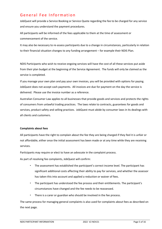# <span id="page-8-0"></span>General Fee Information

JobQuest will provide a Service Booking or Service Quote regarding the fee to be charged for any service and ensure you understand the payment procedures.

All participants will be informed of the fees applicable to them at the time of assessment or commencement of the service.

It may also be necessary to re-assess participants due to a change in circumstances, particularly in relation to their financial situation changes to any funding arrangement – for example their NDIS Plan.

NDIS Participants who wish to receive ongoing services will have the cost of all these services put aside from their plan budget at the beginning of the Service Agreement. The funds will only be claimed as the service is completed.

If you manage your own plan and pay your own invoices, you will be provided with options for paying. JobQuest does not accept cash payments. All invoices are due for payment on the day the service is delivered. Please use the invoice number as a reference.

Australian Consumer Law applies to all businesses that provide goods and services and protects the rights of consumers from unlawful trading practices. The laws relate to contracts, guarantees for goods and services, product safety and selling practices. JobQuest must abide by consumer laws in its dealings with all clients and customers.

#### **Complaints about fees**

All participants have the right to complain about the fee they are being charged if they feel it is unfair or not affordable, either once the initial assessment has been made or at any time while they are receiving services.

Participants may require or elect to have an advocate in the complaint process.

As part of resolving fee complaints, JobQuest will confirm:

- The assessment has established the participant's correct income level. The participant has significant additional costs affecting their ability to pay for services, and whether the assessor has taken this into account and applied a reduction or waiver of fees.
- The participant has understood the fee process and their entitlements. The participant's circumstances have changed and the fee needs to be reassessed.
- There is a carer or guardian who should be involved in the fee process.

The same process for managing general complaints is also used for complaints about fees as described on the next page.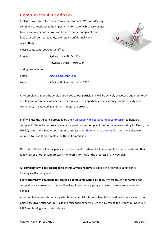# <span id="page-9-0"></span>Complaints & Feedback

JobQuest welcomes feedback from our customers. We consider any complaint or feedback to be important information which we can use to improve our services. You can be sure that all complaints and feedback will be treated fairly, promptly, confidentially and respectfully.

Please contact our JobQuest staff by:

Phone Sydney office: 8677 8885 Newcastle office: 4960 9024



during business hours

Email [mail@jobquest.org.au](mailto:mail@jobquest.org.au) Letter P O Box 58, Penrith NSW 2750

Any complaints about the services provided to our participants will be actively processed and monitored in a fair and reasonable manner and the principles of impartiality, transparency, confidentiality and consistency maintained at all times through the process.

Staff will use the guidance provided by the [NDIS Quality and Safeguarding Commission](https://www.ndiscommission.gov.au/providers/complaints-management) to handle a complaint. We will also provide any participant, whose complaint has not been resolved by JobQuest, the NDIS Quality and Safeguarding Commission fact sheet [How to make a complaint](https://www.ndiscommission.gov.au/document/806) and any assistance required to raise their complaint with the Commission.

Our staff will treat all participants with respect and courtesy at all times and keep participants and their family, carer or other support team members informed of the progress of any complaint.

**All complaints will be responded to within 2 working days** to enable the relevant supervisor to investigate the complaint.

**Every attempt will be made to resolve all complaints within 14 days**. Where this is not possible the complainant and relevant others will be kept inform of any progress being made on recommended actions.

Any complainant who is unhappy with how a complaint is being handled should make contact with the Chief Executive Officer of JobQuest and raise their concerns. Do this by calling the Sydney number 8677 8885 and leaving your contact details.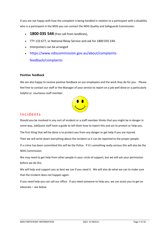If you are not happy with how the complaint is being handled in relation to a participant with a disability who is a participant in the NDIS you can contact the NDIS Quality and Safeguards Commission:

- **1800 035 544** (free call from landlines),
- TTY 133 677, or National Relay Service and ask for 1800 035 544.
- Interpreters can be arranged
- [https://www.ndiscommission.gov.au/about/complaints](https://www.ndiscommission.gov.au/about/complaints-feedback/complaints)[feedback/complaints](https://www.ndiscommission.gov.au/about/complaints-feedback/complaints)

#### <span id="page-10-0"></span>**Positive feedback**

We are also happy to receive positive feedback on our employees and the work they do for you. Please feel free to contact our staff or the Manager of your service to report on a job well done or a particularly helpful or courteous staff member.



## <span id="page-10-1"></span>Incidents

Should you be involved in any sort of incident or a staff member thinks that you might be in danger in some way, JobQuest staff have a guide to tell them how to report this and act to protect or help you.

The first thing that will be done is to protect you from any danger or get help if you are injured.

Then we will write down everything about the incident so it can be reported to the proper people.

If a crime has been committed this will be the Police. If it's something really serious this will also be the NDIS Commission.

We may need to get help from other people in your circle of support, but we will ask your permission before we do this.

We will help and support you as best we can if you need it. We will also do what we can to make sure that the incident does not happen again.

If you need help you can call our office. If you need someone to help you, we can assist you to get an advocate – see below.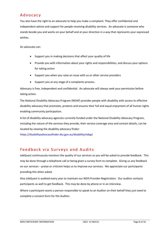# <span id="page-11-0"></span>Advocacy

You also have the right to an advocate to help you make a complaint. They offer confidential and independent advice and support for people receiving disability services. An advocate is someone who stands beside you and works on your behalf and at your direction in a way that represents your expressed wishes.

An advocate can:

- Support you in making decisions that affect your quality of life
- Provide you with information about your rights and responsibilities, and discuss your options for taking action
- Support you when you raise an issue with us or other service providers
- Support you at any stage of a complaints process.

Advocacy is free, independent and confidential. An advocate will always seek your permission before taking action.

The National Disability Advocacy Program (NDAP) provides people with disability with access to effective disability advocacy that promotes, protects and ensures their full and equal enjoyment of all human rights enabling community participation.

A list of disability advocacy agencies currently funded under the National Disability Advocacy Program, including the nature of the services they provide, their service coverage area and contact details, can be located by viewing the disability advocacy finder:

<https://disabilityadvocacyfinder.dss.gov.au/disability/ndap/>

## <span id="page-11-1"></span>Feedback via Surveys and Audits

JobQuest continuously monitors the quality of our services so you will be asked to provide feedback. This may be done through a telephone call or being given a survey form to complete. Giving us any feedback on our services – praise or criticism helps us to improve our services. We appreciate our participants providing this when asked.

Also JobQuest is audited every year to maintain our NDIS Provider Registration. Our auditor contacts participants as well to get feedback. This may be done by phone or in an interview.

Where a participant wants a person responsible to speak to an Auditor on their behalf they just need to complete a consent form for the Auditor.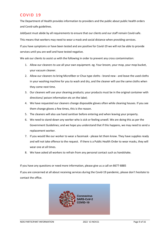# <span id="page-12-0"></span>COVID 19

The Department of Health provides information to providers and the public about public health orders and Covid-safe guidelines.

JobQuest must abide by all requirements to ensure that our clients and our staff remain Covid-safe.

This means that workers may need to wear a mask and social distance when providing services.

If you have symptoms or have been tested and are positive for Covid-19 we will not be able to provide services until you are well and have tested negative.

We ask our clients to assist us with the following in order to prevent any cross contamination:

- 1. Allow our cleaners to use all your own equipment. eg. Your broom, your mop, your mop bucket, your vacuum cleaner.
- 2. Allow our cleaners to bring Microfiber or Chux type cloths brand new and leave the used cloths in your washing machine for you to wash and dry, and the cleaner will use the same cloths when they come next time.
- 3. Our cleaners will use your cleaning products; your products must be in the original container with directions/ poison information etc on the label;
- 4. We have requested our cleaners change disposable gloves often while cleaning houses. If you see them change gloves a few times, this is the reason.
- 5. The cleaners will also use hand sanitiser before entering and when leaving your property.
- 6. We need to stand-down any worker who is sick or feeling unwell. We are doing this as per the Government Guidelines; and we hope you understand that if this happens, we may need to send a replacement worker.
- 7. If you would like our worker to wear a facemask please let them know. They have supplies ready and will not take offence to the request. If there is a Public Health Order to wear masks, they will wear one at all times.
- 8. We have asked all workers to refrain from any personal contact such as handshake.

If you have any questions or need more information, please give us a call on 8677-8885

If you are concerned at all about receiving services during the Covid-19 pandemic, please don't hesitate to contact the office.

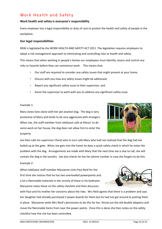# <span id="page-13-0"></span>Work Health and Safety

#### <span id="page-13-1"></span>**Work health and safety is everyone's responsibility**

Every employer has a legal responsibility or duty of care to protect the health and safety of people in the workplace.

#### <span id="page-13-2"></span>**Our legal responsibilities**

NSW is legislated by the WORK HEALTH AND SAFETY ACT 2011 .The legislation requires employers to adopt a risk management approach to eliminating and controlling risks to health and safety.

This means that when working in people's homes our employees must identify, assess and control any risks or hazards before they can commence work. This means that:

- Our staff are required to consider any safety issues that might present at your home,
- Discuss with you how any safety issues might be addressed,
- Report any significant safety issue to their supervisor, and
- Assist the supervisor to work with you to address any significant safety issue.

#### Example 1:

Mary Jones lives alone with her pet alsation dog. The dog is very protective of Mary and tends to be very aggressive with strangers. When Joe, the staff member from JobQuest calls at Marys' to do some work on her house, the dog does not allow him to enter the property.



Joe then calls his supervisor Cheryl who in turn calls Mary who had not realised that the dog had Joe bailed up at the gate. When Joe gets into the home he does a quick safety check in which he notes the problem with the dog. Arrangements are made with Mary that the next time Joe is due to call, she will contain the dog in the laundry. Joe also checks he has her phone number in case she forgets to do this.

Example 2:

When JobQuest staff member Maryanne visits Paul Reid for the first time she notices that he has two overloaded powerpoints and a lot a flammable materials in the vicinity of these in his bedroom. Maryanne notes these on the safety checklist and then discusses



with Paul and his mother her concerns about the risks. Mrs Reid agrees that there is a problem and says her daughter had already purchased 2 power boards for them but he had not got around to putting them in place. Maryanne seeks Mrs Reid's permission to do this for her, throw out the old double adaptors and move the flammable items from near the power points. Once this is done she then notes on the safety checklist how the risk has been controlled.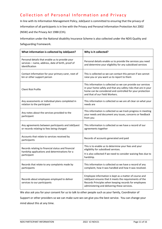# <span id="page-14-0"></span>Collection of Personal Information and Privacy

In line with its Information Management Policy, JobQuest is committed to ensuring that the privacy of information of all participants is in line with the Privacy and Personal Information Protection Act 2002 (NSW) and the Privacy Act 1988 (Cth).

Information under the National disability Insurance Scheme is also collected under the NDIS Quality and Safeguarding Framework.

| What information is collected by JobQuest?                                                                             | Why is it collected?                                                                                                                                                                                                          |
|------------------------------------------------------------------------------------------------------------------------|-------------------------------------------------------------------------------------------------------------------------------------------------------------------------------------------------------------------------------|
| Personal details that enable us to provide your<br>services - name, address, date of birth, proof of<br>identification | Personal details enable us to provide the services you need<br>and determine your eligibility for any subsidised services                                                                                                     |
| Contact information for your primary carer, next of<br>kin or other support person                                     | This is collected so we can contact this person if we cannot<br>raise you or you want us to report to them                                                                                                                    |
| <b>Client Risk Profile</b>                                                                                             | This information is collected so we can provide our services<br>in your home safely and that any safety risks that are in your<br>home can be considered and controlled for your protection<br>and that of our Field Workers. |
| Any assessments or individual plans completed in<br>relation to the participant                                        | This information is collected so we are all clear on what your<br>needs are                                                                                                                                                   |
| Any notes about the services provided to the<br>participant                                                            | This information is collected so we track progress in meeting<br>your needs and document any issues, concerns or feedback<br>from you                                                                                         |
| Any agreements between participants and JobQuest<br>or records relating to fees being charged                          | This information is collected so we have a record of our<br>agreements together                                                                                                                                               |
| Accounts that relate to services received by<br>participants                                                           | Records of accounts generated and paid                                                                                                                                                                                        |
| Records relating to financial status and financial<br>hardship applications and determinations for a<br>participant    | This is to enable us to determine your fees and your<br>eligibility for subsidised services.<br>It is also collected if we need to consider waiving fees due to                                                               |
|                                                                                                                        | hardship.                                                                                                                                                                                                                     |
| Records that relate to any complaints made by<br>participants                                                          | This information is collected so we have a record of any<br>complaint, how it was handled and how it was resolved.                                                                                                            |
| Records about employees employed to deliver<br>services to our participants                                            | Employee information is kept as a matter of course and<br>JobQuest ensures that it meets the requirements of the<br>Records Principles when keeping records for employees<br>administering and delivering these services.     |

We also ask you for your consent for us to talk to other people such as your family, Coordinator of

Support or other providers so we can make sure we can give you the best service. You can change your mind about this at any time.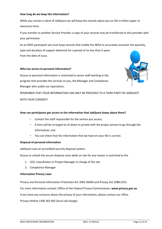#### **How long do we keep this information?**

While you remain a client of JobQuest we will keep the records about you on file in either paper or electronic form.

If you transfer to another Service Provider a copy of your records may be transferred to this provider with your permission.

As an NDIS participant we must keep records that enable the NDIA to accurately ascertain the quantity, type and duration of support delivered for a period of no less than 5 years from the date of issue.

#### **Who has access to personal information?**

Access to personal information is restricted to senior staff working in the program that provides the services to you, the Manager and Compliance Manager who audits our operations.



REMEMBER THAT YOUR INFORMATION CAN ONLY BE PROVIDED TO A THIRD PARTY BY JOBQUEST WITH YOUR CONSENT!

#### **How can participants get access to the information that JobQuest keeps about them?**

- Contact the staff responsible for the service you access;
- A time will be arranged to sit down in private with the proper person to go through the information; and
- You can check that the information that we have on your file is correct.

#### **Disposal of personal information**

JobQuest uses an accredited security disposal system.

Access to unlock the secure disposal units while on site for any reason is restricted to the

- 1. CEO, Coordinator or Project Manager in charge of the site
- 2. Compliance Manager

#### **Information Privacy Laws**

Privacy and Personal Information Protection Act 2002 (NSW) and Privacy Act 1988 (Cth)

For more information contact: Office of the Federal Privacy Commissioner, **[www.privacy.gov.au](http://www.privacy.gov.au/)**

If you have any concerns about the privacy of your information, please contact our office.

Privacy Hotline 1300 363 992 (local call charge)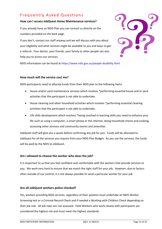# <span id="page-16-0"></span>Frequently Asked Questions

#### <span id="page-16-1"></span>**How can I access JobQuest Home Maintenance services?**

If you already have an NDIS Plan you can contact us directly on the numbers provided on the back page.

If you don't, contact our staff anyway and we will discuss with you about your eligibility and what services might be available to you and ways to get a referral. Your doctor, your friends, your family or other people can also help you to access our services.



NDIS information can be found at [https://www.ndis.gov.au/people-disability.html.](https://www.ndis.gov.au/people-disability.html)

#### <span id="page-16-2"></span>**How much will the service cost me?**

NDIS participants need to allocate funds from their NDIS plan to the following items

- House and/or yard maintenance services which involves \*performing essential house and or yard activities that the participant is not able to undertake.
- House cleaning and other household activities which involves \*performing essential cleaning activities that the participant is not able to undertake.
- Life skills development which involves \*being coached in learning skills you need to enhance your life such as using a computer, a smart phone or the internet, doing household chores and cooking, accessing other services and community events and amenities

JobQuest staff will give you a quote before confirming any job for you. Funds will be allocated to JobQuest for all the services you require from your NDIS Plan Budget. As you use the services, the funds will be paid by the NDIS to JobQuest.

#### <span id="page-16-3"></span>**Am I allowed to choose the worker who does the job?**

It is important to us that you feel confident and comfortable with the workers that provide services to you. We work very hard to ensure that we match the right staff for your job. However, due to factors often outside of our control, it is not always possible to send a particular worker for your job.

#### <span id="page-16-4"></span>**Are all JobQuest workers police checked?**

Yes, workers providing NDIS services, regardless of their position must undertake an NDIS Worker Screening test or a Criminal Record Check and if needed a Working with Children Check depending on their job role. All job roles are risk assessed. Field Workers who work closely with participants are considered the highest risk and must meet the highest standards.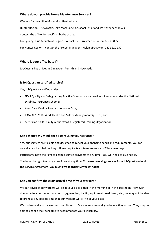#### <span id="page-17-0"></span>**Where do you provide Home Maintenance Services?**

Western Sydney, Blue Mountains, Hawkesbury Hunter Region – Newcastle, Lake Macquarie, Cessnock, Maitland, Port Stephens LGA s Contact the office for specific suburbs or areas. For Sydney, Blue Mountains Regions contact the Girraween office on 8677 8885 For Hunter Region – contact the Project Manager – Helen directly on 0421 220 152.

#### <span id="page-17-1"></span>**Where is your office based?**

JobQuest's has offices at Girraween, Penrith and Newcastle.

#### <span id="page-17-2"></span>**Is JobQuest an certified service?**

Yes, JobQuest is certified under:

- NDIS Quality and Safeguarding Practice Standards as a provider of services under the National Disability Insurance Scheme;
- Aged Care Quality Standards Home Care;
- ISO45001:2018 Work Health and Safety Management Systems; and
- Australian Skills Quality Authority as a Registered Training Organisation.

#### <span id="page-17-3"></span>**Can I change my mind once I start using your services?**

Yes, our services are flexible and designed to reflect your changing needs and requirements. You can cancel any scheduled booking. All we require is **a minimum notice of 2 business days**.

Participants have the right to change service providers at any time. You will need to give notice.

You have the right to change providers at any time. **To cease receiving services from JobQuest and end the Service Agreement, you must give JobQuest 2 weeks' notice**.

#### <span id="page-17-4"></span>**Can you confirm the exact arrival time of your workers?**

We can advise if our workers will be at your place either in the morning or in the afternoon. However, due to factors not under our control (eg weather, traffic, equipment breakdown, etc), we may not be able to promise any specific time that our workers will arrive at your place.

We understand you have other commitments. Our workers may call you before they arrive. They may be able to change their schedule to accommodate your availability.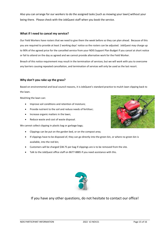Also you can arrange for our workers to do the assigned tasks [such as mowing your lawn] without your being there. Please check with the JobQuest staff when you book the service.

#### <span id="page-18-0"></span>**What if I need to cancel my service?**

Our Field Workers have rosters that we need to give them the week before so they can plan ahead. Because of this you are required to provide at least 2 working days' notice so the rosters can be adjusted. JobQuest may charge up to 90% of the agreed price for the cancelled service from your NDIS Support Plan Budget if you cancel at short notice or fail to attend on the day as agreed and we cannot provide alternative work for the Field Worker.

Breach of this notice requirement may result in the termination of services; but we will work with you to overcome any barriers causing repeated cancellation, and termination of services will only be used as the last resort.

#### <span id="page-18-1"></span>**Why don't you rake up the grass?**

Based on environmental and local council reasons, it is JobQuest's standard practice to mulch lawn clipping back to the lawn.

Mulching the lawn can:

- Improve soil conditions and retention of moisture;
- Provide nutrient to the soil and reduce needs of fertiliser;
- Increase organic matters in the lawn;
- Reduce waste and cost of waste disposal.

We cannot collect clipping in plastic bag or garbage bags;

- Clippings can be put on the garden bed, or on the compost area;
- If clippings have to be disposed of, they can go directly into the green bin, or where no green bin is available, into the red bin;
- Customers will be charged \$38.75 per bag if clippings are is to be removed from the site.
- Talk to the JobQuest office staff on 8677-8885 if you need assistance with this.



If you have any other questions, do not hesitate to contact our office!